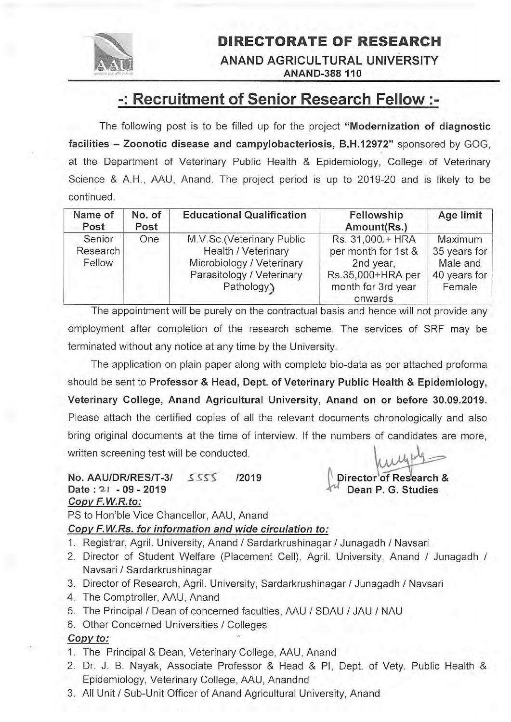

DIRECTORATE OF RESEARCH ANAND AGRICULTURAL UNIVERSITY **ANAND-388 110** 

# -: Recruitment of Senior Research Fellow :-

The following post is to be filled up for the project "Modernization of diagnostic facilities - Zoonotic disease and campylobacteriosis, B.H.12972" sponsored by GOG, at the Department of Veterinary Public Health & Epidemiology, College of Veterinary Science & A.H., AAU, Anand. The project period is up to 2019-20 and is likely to be continued.

| Name of<br>Post              | No. of<br>Post | <b>Educational Qualification</b>                                                                                          | Fellowship<br>Amount(Rs.)                                                                                  | Age limit                                                     |
|------------------------------|----------------|---------------------------------------------------------------------------------------------------------------------------|------------------------------------------------------------------------------------------------------------|---------------------------------------------------------------|
| Senior<br>Research<br>Fellow | One            | M.V.Sc.(Veterinary Public<br>Health / Veterinary<br>Microbiology / Veterinary<br>Parasitology / Veterinary<br>Pathology ) | Rs. 31,000.+ HRA<br>per month for 1st &<br>2nd year,<br>Rs.35,000+HRA per<br>month for 3rd year<br>onwards | Maximum<br>35 years for<br>Male and<br>40 years for<br>Female |

The appointment will be purely on the contractual basis and hence will not provide any employnient after completion of the research scheme. The services of SRF may be terminated without any notice at any time by the University.

The application on plain paper along with complete bio-data as per attached proforma should be sent to Professor & Head, Dept. of Veterinary Public Health & Epidemiology, Veterinary College, Anand Agricultural University, Anand on or before 30.09.2019. Please attach the certified copies of all the relevant documents chronologically and also bring original documents at the time of interview. lf the numbers of candidates are more, written screening test will be conducted.

## NO. AAU/DR/RES/T-3/ 5SS' <sup>12019</sup> Date: 21 - 09 - 2019 Copv F.W.R.to:

Director of Research & Dean P. G. Studies

PS to Hon'ble Vice Chancellor. AAU. Anand

#### Copv F.W.Rs. for information and wide circulation to:

- 1. Registrar, Agril. University, Anand / Sardarkrushinagar / Junagadh / Navsari
- 2. Director of Student Welfare (Placement Cell), Agril. University, Anand / Junagadh / Navsari / Sardarkrushinagar
- 3. Director of Research, Agril. University, Sardarkrushinagar / Junagadh / Navsari
- 4. The Comptroller, AAU, Anand
- 5. The Principal / Dean of concerned faculties, AAU / SDAU / JAU / NAU
- 6. Other Concerned Universities / Colleges

### Copy to:

- 1. The Principal & Dean, Veterinary College, AAU, Anand
- 2. Dr. J. B. Nayak, Associate Professor & Head & Pl, Dept. of Vety. Public Health & Epidemiology, Veterinary College, AAU, Anandnd
- 3. All Unit / Sub-Unit Officer of Anand Agricultural University, Anand